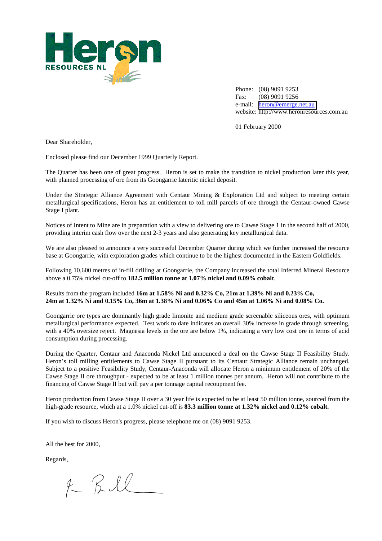

Phone: (08) 9091 9253 Fax: (08) 9091 9256 e-mail: [heron@emerge.net.au](mailto:heron@emerge.net.au) website: http://www.heronresources.com.au

01 February 2000

Dear Shareholder,

Enclosed please find our December 1999 Quarterly Report.

The Quarter has been one of great progress. Heron is set to make the transition to nickel production later this year, with planned processing of ore from its Goongarrie lateritic nickel deposit.

Under the Strategic Alliance Agreement with Centaur Mining & Exploration Ltd and subject to meeting certain metallurgical specifications, Heron has an entitlement to toll mill parcels of ore through the Centaur-owned Cawse Stage I plant.

Notices of Intent to Mine are in preparation with a view to delivering ore to Cawse Stage 1 in the second half of 2000, providing interim cash flow over the next 2-3 years and also generating key metallurgical data.

We are also pleased to announce a very successful December Quarter during which we further increased the resource base at Goongarrie, with exploration grades which continue to be the highest documented in the Eastern Goldfields.

Following 10,600 metres of in-fill drilling at Goongarrie, the Company increased the total Inferred Mineral Resource above a 0.75% nickel cut-off to **182.5 million tonne at 1.07% nickel and 0.09% cobalt**.

Results from the program included **16m at 1.58% Ni and 0.32% Co, 21m at 1.39% Ni and 0.23% Co, 24m at 1.32% Ni and 0.15% Co, 36m at 1.38% Ni and 0.06% Co and 45m at 1.06% Ni and 0.08% Co.**

Goongarrie ore types are dominantly high grade limonite and medium grade screenable siliceous ores, with optimum metallurgical performance expected. Test work to date indicates an overall 30% increase in grade through screening, with a 40% oversize reject. Magnesia levels in the ore are below 1%, indicating a very low cost ore in terms of acid consumption during processing.

During the Quarter, Centaur and Anaconda Nickel Ltd announced a deal on the Cawse Stage II Feasibility Study. Heron's toll milling entitlements to Cawse Stage II pursuant to its Centaur Strategic Alliance remain unchanged. Subject to a positive Feasibility Study, Centaur-Anaconda will allocate Heron a minimum entitlement of 20% of the Cawse Stage II ore throughput - expected to be at least 1 million tonnes per annum. Heron will not contribute to the financing of Cawse Stage II but will pay a per tonnage capital recoupment fee.

Heron production from Cawse Stage II over a 30 year life is expected to be at least 50 million tonne, sourced from the high-grade resource, which at a 1.0% nickel cut-off is **83.3 million tonne at 1.32% nickel and 0.12% cobalt.**

If you wish to discuss Heron's progress, please telephone me on (08) 9091 9253.

All the best for 2000,

Regards,

 $K. RIL$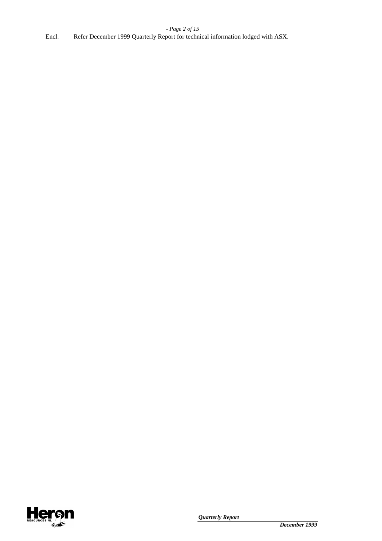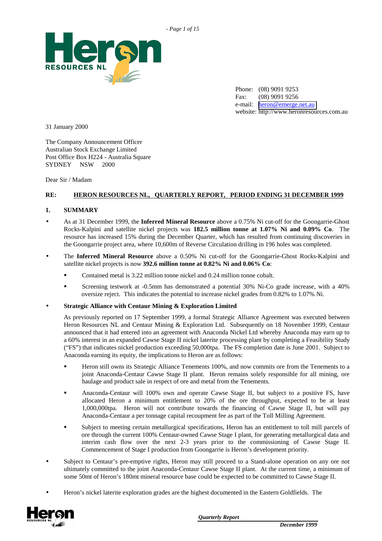

Phone: (08) 9091 9253 Fax: (08) 9091 9256 e-mail: [heron@emerge.net.au](mailto:heron@emerge.net.au) website: http://www.heronresources.com.au

31 January 2000

The Company Announcement Officer Australian Stock Exchange Limited Post Office Box H224 - Australia Square SYDNEY NSW 2000

Dear Sir / Madam

## **RE: HERON RESOURCES NL, QUARTERLY REPORT, PERIOD ENDING 31 DECEMBER 1999**

## **1. SUMMARY**

- As at 31 December 1999, the **Inferred Mineral Resource** above a 0.75% Ni cut-off for the Goongarrie-Ghost Rocks-Kalpini and satellite nickel projects was **182.5 million tonne at 1.07% Ni and 0.09% Co**. The resource has increased 15% during the December Quarter, which has resulted from continuing discoveries in the Goongarrie project area, where 10,600m of Reverse Circulation drilling in 196 holes was completed.
- The **Inferred Mineral Resource** above a 0.50% Ni cut-off for the Goongarrie-Ghost Rocks-Kalpini and satellite nickel projects is now **392.6 million tonne at 0.82% Ni and 0.06% Co**:
	- ! Contained metal is 3.22 million tonne nickel and 0.24 million tonne cobalt.
	- ! Screening testwork at -0.5mm has demonstrated a potential 30% Ni-Co grade increase, with a 40% oversize reject. This indicates the potential to increase nickel grades from 0.82% to 1.07% Ni.

### • **Strategic Alliance with Centaur Mining & Exploration Limited**

As previously reported on 17 September 1999, a formal Strategic Alliance Agreement was executed between Heron Resources NL and Centaur Mining & Exploration Ltd. Subsequently on 18 November 1999, Centaur announced that it had entered into an agreement with Anaconda Nickel Ltd whereby Anaconda may earn up to a 60% interest in an expanded Cawse Stage II nickel laterite processing plant by completing a Feasibility Study ("FS") that indicates nickel production exceeding 50,000tpa. The FS completion date is June 2001. Subject to Anaconda earning its equity, the implications to Heron are as follows:

- ! Heron still owns its Strategic Alliance Tenements 100%, and now commits ore from the Tenements to a joint Anaconda-Centaur Cawse Stage II plant. Heron remains solely responsible for all mining, ore haulage and product sale in respect of ore and metal from the Tenements.
- ! Anaconda-Centaur will 100% own and operate Cawse Stage II, but subject to a positive FS, have allocated Heron a minimum entitlement to 20% of the ore throughput, expected to be at least 1,000,000tpa. Heron will not contribute towards the financing of Cawse Stage II, but will pay Anaconda-Centaur a per tonnage capital recoupment fee as part of the Toll Milling Agreement.
- ! Subject to meeting certain metallurgical specifications, Heron has an entitlement to toll mill parcels of ore through the current 100% Centaur-owned Cawse Stage I plant, for generating metallurgical data and interim cash flow over the next 2-3 years prior to the commissioning of Cawse Stage II. Commencement of Stage I production from Goongarrie is Heron's development priority.
- Subject to Centaur's pre-emptive rights, Heron may still proceed to a Stand-alone operation on any ore not ultimately committed to the joint Anaconda-Centaur Cawse Stage II plant. At the current time, a minimum of some 50mt of Heron's 180mt mineral resource base could be expected to be committed to Cawse Stage II.
- Heron's nickel laterite exploration grades are the highest documented in the Eastern Goldfields. The

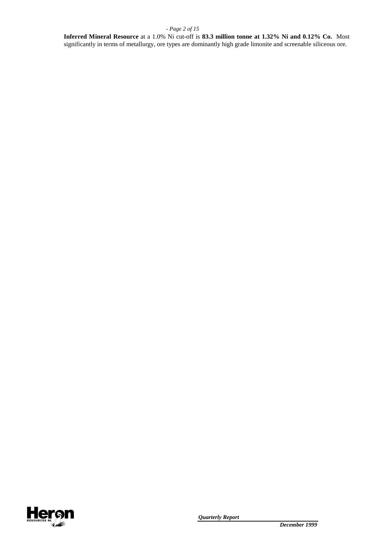## *- Page 2 of 15*

**Inferred Mineral Resource** at a 1.0% Ni cut-off is **83.3 million tonne at 1.32% Ni and 0.12% Co.** Most significantly in terms of metallurgy, ore types are dominantly high grade limonite and screenable siliceous ore.

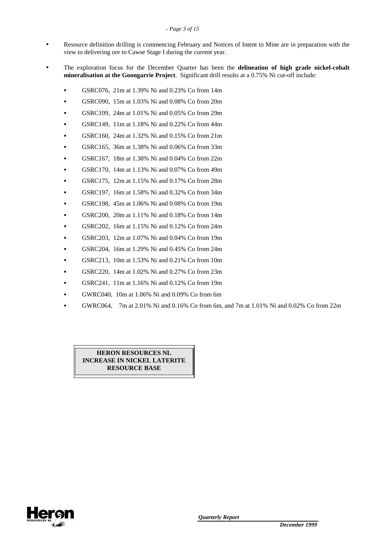#### *- Page 3 of 15*

- Resource definition drilling is commencing February and Notices of Intent to Mine are in preparation with the view to delivering ore to Cawse Stage I during the current year.
- The exploration focus for the December Quarter has been the **delineation of high grade nickel-cobalt mineralisation at the Goongarrie Project**. Significant drill results at a 0.75% Ni cut-off include:
	- ! GSRC076, 21m at 1.39% Ni and 0.23% Co from 14m
	- ! GSRC090, 15m at 1.03% Ni and 0.08% Co from 20m
	- ! GSRC109, 24m at 1.01% Ni and 0.05% Co from 29m
	- ! GSRC149, 11m at 1.18% Ni and 0.22% Co from 44m
	- ! GSRC160, 24m at 1.32% Ni and 0.15% Co from 21m
	- ! GSRC165, 36m at 1.38% Ni and 0.06% Co from 33m
	- ! GSRC167, 18m at 1.38% Ni and 0.04% Co from 22m
	- ! GSRC170, 14m at 1.13% Ni and 0.07% Co from 49m
	- ! GSRC175, 12m at 1.15% Ni and 0.17% Co from 28m
	- ! GSRC197, 16m at 1.58% Ni and 0.32% Co from 34m
	- ! GSRC198, 45m at 1.06% Ni and 0.08% Co from 19m
	- ! GSRC200, 20m at 1.11% Ni and 0.18% Co from 14m
	- ! GSRC202, 16m at 1.15% Ni and 0.12% Co from 24m
	- ! GSRC203, 12m at 1.07% Ni and 0.04% Co from 19m
	- ! GSRC204, 16m at 1.29% Ni and 0.45% Co from 24m
	- ! GSRC213, 10m at 1.53% Ni and 0.21% Co from 10m
	- ! GSRC220, 14m at 1.02% Ni and 0.27% Co from 23m
	- ! GSRC241, 11m at 1.16% Ni and 0.12% Co from 19m
	- ! GWRC040, 10m at 1.06% Ni and 0.09% Co from 6m
	- ! GWRC064, 7m at 2.01% Ni and 0.16% Co from 6m, and 7m at 1.01% Ni and 0.02% Co from 22m

#### **HERON RESOURCES NL INCREASE IN NICKEL LATERITE RESOURCE BASE**

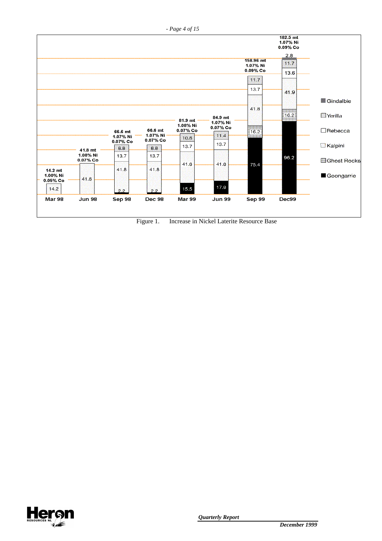

Figure 1. Increase in Nickel Laterite Resource Base

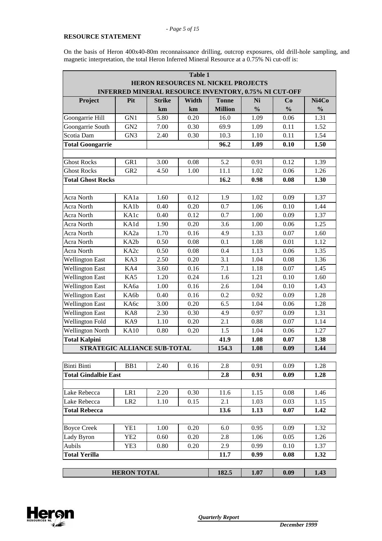## **RESOURCE STATEMENT**

On the basis of Heron 400x40-80m reconnaissance drilling, outcrop exposures, old drill-hole sampling, and magnetic interpretation, the total Heron Inferred Mineral Resource at a 0.75% Ni cut-off is:

| <b>Table 1</b><br>HERON RESOURCES NL NICKEL PROJECTS         |                    |               |       |                |               |               |               |  |  |  |
|--------------------------------------------------------------|--------------------|---------------|-------|----------------|---------------|---------------|---------------|--|--|--|
| <b>INFERRED MINERAL RESOURCE INVENTORY, 0.75% NI CUT-OFF</b> |                    |               |       |                |               |               |               |  |  |  |
| Project                                                      | Pit                | <b>Strike</b> | Width | <b>Tonne</b>   | Ni            | Co            | Ni4Co         |  |  |  |
|                                                              |                    | km            | km    | <b>Million</b> | $\frac{0}{0}$ | $\frac{0}{0}$ | $\frac{0}{0}$ |  |  |  |
| Goongarrie Hill                                              | GN1                | 5.80          | 0.20  | 16.0           | 1.09          | 0.06          | 1.31          |  |  |  |
| Goongarrie South                                             | GN <sub>2</sub>    | 7.00          | 0.30  | 69.9           | 1.09          | 0.11          | 1.52          |  |  |  |
| Scotia Dam                                                   | GN <sub>3</sub>    | 2.40          | 0.30  | 10.3           | 1.10          | 0.11          | 1.54          |  |  |  |
| <b>Total Goongarrie</b>                                      |                    |               |       | 96.2           | 1.09          | 0.10          | 1.50          |  |  |  |
|                                                              |                    |               |       |                |               |               |               |  |  |  |
| <b>Ghost Rocks</b>                                           | GR1                | 3.00          | 0.08  | 5.2            | 0.91          | 0.12          | 1.39          |  |  |  |
| <b>Ghost Rocks</b>                                           | GR <sub>2</sub>    | 4.50          | 1.00  | 11.1           | 1.02          | 0.06          | 1.26          |  |  |  |
| <b>Total Ghost Rocks</b>                                     |                    |               |       | 16.2           | 0.98          | 0.08          | 1.30          |  |  |  |
|                                                              |                    |               |       |                |               |               |               |  |  |  |
| Acra North                                                   | KA1a               | 1.60          | 0.12  | 1.9            | 1.02          | 0.09          | 1.37          |  |  |  |
| Acra North                                                   | KA1b               | 0.40          | 0.20  | 0.7            | 1.06          | 0.10          | 1.44          |  |  |  |
| Acra North                                                   | KA1c               | 0.40          | 0.12  | 0.7            | 1.00          | 0.09          | 1.37          |  |  |  |
| Acra North                                                   | KA1d               | 1.90          | 0.20  | 3.6            | 1.00          | 0.06          | 1.25          |  |  |  |
| Acra North                                                   | KA2a               | 1.70          | 0.16  | 4.9            | 1.33          | 0.07          | 1.60          |  |  |  |
| Acra North                                                   | KA <sub>2</sub> b  | 0.50          | 0.08  | 0.1            | 1.08          | 0.01          | 1.12          |  |  |  |
| Acra North                                                   | KA <sub>2c</sub>   | 0.50          | 0.08  | 0.4            | 1.13          | 0.06          | 1.35          |  |  |  |
| <b>Wellington East</b>                                       | KA3                | 2.50          | 0.20  | 3.1            | 1.04          | 0.08          | 1.36          |  |  |  |
| <b>Wellington East</b>                                       | KA4                | 3.60          | 0.16  | 7.1            | 1.18          | 0.07          | 1.45          |  |  |  |
| <b>Wellington East</b>                                       | KA5                | 1.20          | 0.24  | 1.6            | 1.21          | 0.10          | 1.60          |  |  |  |
| <b>Wellington East</b>                                       | КАба               | 1.00          | 0.16  | 2.6            | 1.04          | 0.10          | 1.43          |  |  |  |
| <b>Wellington East</b>                                       | KA6b               | 0.40          | 0.16  | 0.2            | 0.92          | 0.09          | 1.28          |  |  |  |
| <b>Wellington East</b>                                       | КАбс               | 3.00          | 0.20  | 6.5            | 1.04          | 0.06          | 1.28          |  |  |  |
| <b>Wellington East</b>                                       | KA8                | 2.30          | 0.30  | 4.9            | 0.97          | 0.09          | 1.31          |  |  |  |
| <b>Wellington Fold</b>                                       | KA9                | 1.10          | 0.20  | 2.1            | 0.88          | 0.07          | 1.14          |  |  |  |
| <b>Wellington North</b>                                      | <b>KA10</b>        | 0.80          | 0.20  | 1.5            | 1.04          | 0.06          | 1.27          |  |  |  |
| <b>Total Kalpini</b>                                         |                    |               |       | 41.9           | 1.08          | 0.07          | 1.38          |  |  |  |
| STRATEGIC ALLIANCE SUB-TOTAL                                 |                    |               |       | 154.3          | 1.08          | 0.09          | 1.44          |  |  |  |
|                                                              |                    |               |       |                |               |               |               |  |  |  |
| <b>Binti Binti</b>                                           | BB1                | 2.40          | 0.16  | 2.8            | 0.91          | 0.09          | 1.28          |  |  |  |
| <b>Total Gindalbie East</b>                                  |                    |               |       | 2.8            | 0.91          | 0.09          | 1.28          |  |  |  |
|                                                              |                    |               |       |                |               |               |               |  |  |  |
| Lake Rebecca                                                 | LR1                | 2.20          | 0.30  | 11.6           | 1.15          | 0.08          | 1.46          |  |  |  |
| Lake Rebecca                                                 | LR <sub>2</sub>    | 1.10          | 0.15  | 2.1            | 1.03          | 0.03          | 1.15          |  |  |  |
| <b>Total Rebecca</b>                                         |                    |               |       | 13.6           | 1.13          | 0.07          | 1.42          |  |  |  |
|                                                              |                    |               |       |                |               |               |               |  |  |  |
| <b>Boyce Creek</b>                                           | YE1                | 1.00          | 0.20  | 6.0            | 0.95          | 0.09          | 1.32          |  |  |  |
| Lady Byron                                                   | YE <sub>2</sub>    | 0.60          | 0.20  | 2.8            | 1.06          | 0.05          | 1.26          |  |  |  |
| Aubils                                                       | YE3                | 0.80          | 0.20  | 2.9            | 0.99          | 0.10          | 1.37          |  |  |  |
| <b>Total Yerilla</b>                                         |                    |               |       | 11.7           | 0.99          | 0.08          | 1.32          |  |  |  |
|                                                              |                    |               |       |                |               |               |               |  |  |  |
|                                                              | <b>HERON TOTAL</b> |               |       | 182.5          | 1.07          | 0.09          | 1.43          |  |  |  |

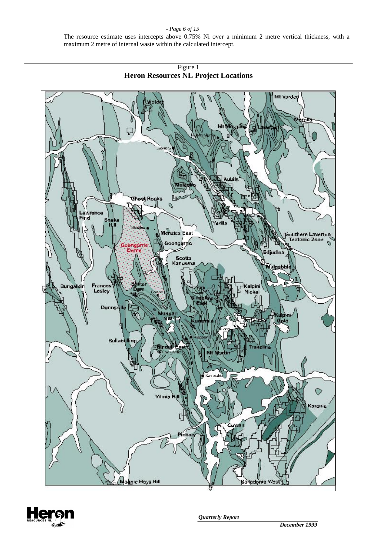## *- Page 6 of 15*

The resource estimate uses intercepts above 0.75% Ni over a minimum 2 metre vertical thickness, with a maximum 2 metre of internal waste within the calculated intercept.



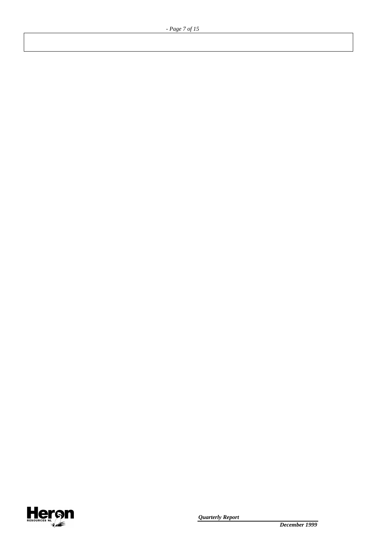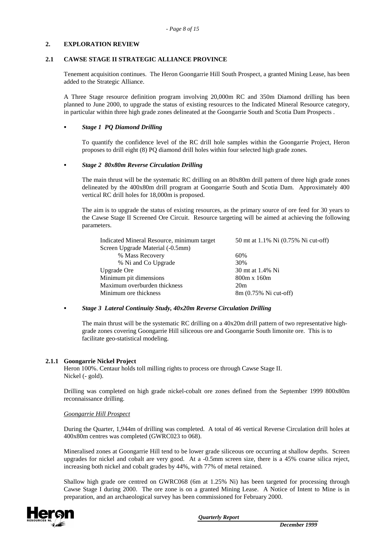#### **2. EXPLORATION REVIEW**

#### **2.1 CAWSE STAGE II STRATEGIC ALLIANCE PROVINCE**

Tenement acquisition continues. The Heron Goongarrie Hill South Prospect, a granted Mining Lease, has been added to the Strategic Alliance.

A Three Stage resource definition program involving 20,000m RC and 350m Diamond drilling has been planned to June 2000, to upgrade the status of existing resources to the Indicated Mineral Resource category, in particular within three high grade zones delineated at the Goongarrie South and Scotia Dam Prospects .

#### ! *Stage 1 PQ Diamond Drilling*

To quantify the confidence level of the RC drill hole samples within the Goongarrie Project, Heron proposes to drill eight (8) PQ diamond drill holes within four selected high grade zones.

#### ! *Stage 2 80x80m Reverse Circulation Drilling*

The main thrust will be the systematic RC drilling on an 80x80m drill pattern of three high grade zones delineated by the 400x80m drill program at Goongarrie South and Scotia Dam. Approximately 400 vertical RC drill holes for 18,000m is proposed.

The aim is to upgrade the status of existing resources, as the primary source of ore feed for 30 years to the Cawse Stage II Screened Ore Circuit. Resource targeting will be aimed at achieving the following parameters.

| Indicated Mineral Resource, minimum target | 50 mt at 1.1% Ni (0.75% Ni cut-off) |
|--------------------------------------------|-------------------------------------|
| Screen Upgrade Material (-0.5mm)           |                                     |
| % Mass Recovery                            | 60%                                 |
| % Ni and Co Upgrade                        | 30%                                 |
| <b>Upgrade Ore</b>                         | 30 mt at 1.4% Ni                    |
| Minimum pit dimensions                     | 800m x 160m                         |
| Maximum overburden thickness               | 20 <sub>m</sub>                     |
| Minimum ore thickness                      | 8m (0.75% Ni cut-off)               |

#### ! *Stage 3 Lateral Continuity Study, 40x20m Reverse Circulation Drilling*

The main thrust will be the systematic RC drilling on a 40x20m drill pattern of two representative highgrade zones covering Goongarrie Hill siliceous ore and Goongarrie South limonite ore. This is to facilitate geo-statistical modeling.

#### **2.1.1 Goongarrie Nickel Project**

Heron 100%. Centaur holds toll milling rights to process ore through Cawse Stage II. Nickel (- gold).

Drilling was completed on high grade nickel-cobalt ore zones defined from the September 1999 800x80m reconnaissance drilling.

#### *Goongarrie Hill Prospect*

During the Quarter, 1,944m of drilling was completed. A total of 46 vertical Reverse Circulation drill holes at 400x80m centres was completed (GWRC023 to 068).

Mineralised zones at Goongarrie Hill tend to be lower grade siliceous ore occurring at shallow depths. Screen upgrades for nickel and cobalt are very good. At a -0.5mm screen size, there is a 45% coarse silica reject, increasing both nickel and cobalt grades by 44%, with 77% of metal retained.

Shallow high grade ore centred on GWRC068 (6m at 1.25% Ni) has been targeted for processing through Cawse Stage I during 2000. The ore zone is on a granted Mining Lease. A Notice of Intent to Mine is in preparation, and an archaeological survey has been commissioned for February 2000.

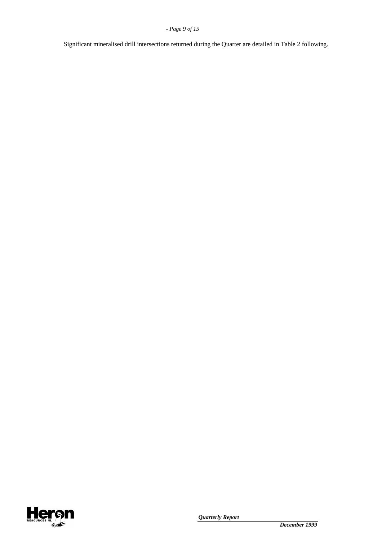# *- Page 9 of 15*

Significant mineralised drill intersections returned during the Quarter are detailed in Table 2 following.

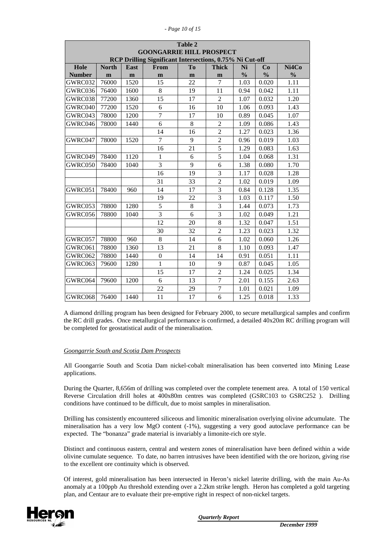|  | - Page 10 of 15 |  |  |  |
|--|-----------------|--|--|--|
|--|-----------------|--|--|--|

| <b>Table 2</b>                                                                              |              |                  |                |                |                   |                     |                     |               |  |  |
|---------------------------------------------------------------------------------------------|--------------|------------------|----------------|----------------|-------------------|---------------------|---------------------|---------------|--|--|
| <b>GOONGARRIE HILL PROSPECT</b><br>RCP Drilling Significant Intersections, 0.75% Ni Cut-off |              |                  |                |                |                   |                     |                     |               |  |  |
| Hole                                                                                        | <b>North</b> |                  |                |                |                   |                     |                     | Ni4Co         |  |  |
| <b>Number</b>                                                                               | m            | <b>East</b><br>m | From<br>m      | <b>To</b><br>m | <b>Thick</b><br>m | Ni<br>$\frac{0}{0}$ | Co<br>$\frac{6}{9}$ | $\frac{0}{0}$ |  |  |
| GWRC032                                                                                     | 76000        | 1520             | 15             | 22             | 7                 | 1.03                | 0.020               | 1.11          |  |  |
| GWRC036                                                                                     | 76400        | 1600             | 8              | 19             | 11                | 0.94                | 0.042               | 1.11          |  |  |
| GWRC038                                                                                     | 77200        | 1360             | 15             | 17             | $\overline{c}$    | 1.07                | 0.032               | 1.20          |  |  |
| GWRC040                                                                                     | 77200        | 1520             | 6              | 16             | 10                | 1.06                | 0.093               | 1.43          |  |  |
| GWRC043                                                                                     | 78000        | 1200             | $\overline{7}$ | 17             | 10                | 0.89                | 0.045               | 1.07          |  |  |
| GWRC046                                                                                     | 78000        | 1440             | $\overline{6}$ | 8              | $\overline{c}$    | 1.09                | 0.086               | 1.43          |  |  |
|                                                                                             |              |                  | 14             | 16             | $\overline{2}$    | 1.27                | 0.023               | 1.36          |  |  |
| GWRC047                                                                                     | 78000        | 1520             | $\overline{7}$ | 9              | $\overline{2}$    | 0.96                | 0.019               | 1.03          |  |  |
|                                                                                             |              |                  | 16             | 21             | $\overline{5}$    | 1.29                | 0.083               | 1.63          |  |  |
| GWRC049                                                                                     | 78400        | 1120             | 1              | 6              | 5                 | 1.04                | 0.068               | 1.31          |  |  |
| GWRC050                                                                                     | 78400        | 1040             | $\overline{3}$ | 9              | 6                 | 1.38                | 0.080               | 1.70          |  |  |
|                                                                                             |              |                  | 16             | 19             | $\overline{3}$    | 1.17                | 0.028               | 1.28          |  |  |
|                                                                                             |              |                  | 31             | 33             | $\overline{2}$    | 1.02                | 0.019               | 1.09          |  |  |
| GWRC051                                                                                     | 78400        | 960              | 14             | 17             | $\overline{3}$    | 0.84                | 0.128               | 1.35          |  |  |
|                                                                                             |              |                  | 19             | 22             | $\overline{3}$    | 1.03                | 0.117               | 1.50          |  |  |
| GWRC053                                                                                     | 78800        | 1280             | $\overline{5}$ | 8              | $\overline{3}$    | 1.44                | 0.073               | 1.73          |  |  |
| GWRC056                                                                                     | 78800        | 1040             | $\overline{3}$ | 6              | $\overline{3}$    | 1.02                | 0.049               | 1.21          |  |  |
|                                                                                             |              |                  | 12             | 20             | 8                 | 1.32                | 0.047               | 1.51          |  |  |
|                                                                                             |              |                  | 30             | 32             | $\overline{2}$    | 1.23                | 0.023               | 1.32          |  |  |
| GWRC057                                                                                     | 78800        | 960              | 8              | 14             | 6                 | 1.02                | 0.060               | 1.26          |  |  |
| GWRC061                                                                                     | 78800        | 1360             | 13             | 21             | 8                 | 1.10                | 0.093               | 1.47          |  |  |
| GWRC062                                                                                     | 78800        | 1440             | $\overline{0}$ | 14             | 14                | 0.91                | 0.051               | 1.11          |  |  |
| GWRC063                                                                                     | 79600        | 1280             | $\mathbf{1}$   | 10             | 9                 | 0.87                | 0.045               | 1.05          |  |  |
|                                                                                             |              |                  | 15             | 17             | $\overline{2}$    | 1.24                | 0.025               | 1.34          |  |  |
| GWRC064                                                                                     | 79600        | 1200             | 6              | 13             | $\overline{7}$    | 2.01                | 0.155               | 2.63          |  |  |
|                                                                                             |              |                  | 22             | 29             | $\overline{7}$    | 1.01                | 0.021               | 1.09          |  |  |
| GWRC068                                                                                     | 76400        | 1440             | 11             | 17             | 6                 | 1.25                | 0.018               | 1.33          |  |  |

A diamond drilling program has been designed for February 2000, to secure metallurgical samples and confirm the RC drill grades. Once metallurgical performance is confirmed, a detailed 40x20m RC drilling program will be completed for geostatistical audit of the mineralisation.

### *Goongarrie South and Scotia Dam Prospects*

All Goongarrie South and Scotia Dam nickel-cobalt mineralisation has been converted into Mining Lease applications.

During the Quarter, 8,656m of drilling was completed over the complete tenement area. A total of 150 vertical Reverse Circulation drill holes at 400x80m centres was completed (GSRC103 to GSRC252 ). Drilling conditions have continued to be difficult, due to moist samples in mineralisation.

Drilling has consistently encountered siliceous and limonitic mineralisation overlying olivine adcumulate. The mineralisation has a very low MgO content (-1%), suggesting a very good autoclave performance can be expected. The "bonanza" grade material is invariably a limonite-rich ore style.

Distinct and continuous eastern, central and western zones of mineralisation have been defined within a wide olivine cumulate sequence. To date, no barren intrusives have been identified with the ore horizon, giving rise to the excellent ore continuity which is observed.

Of interest, gold mineralisation has been intersected in Heron's nickel laterite drilling, with the main Au-As anomaly at a 100ppb Au threshold extending over a 2.2km strike length. Heron has completed a gold targeting plan, and Centaur are to evaluate their pre-emptive right in respect of non-nickel targets.

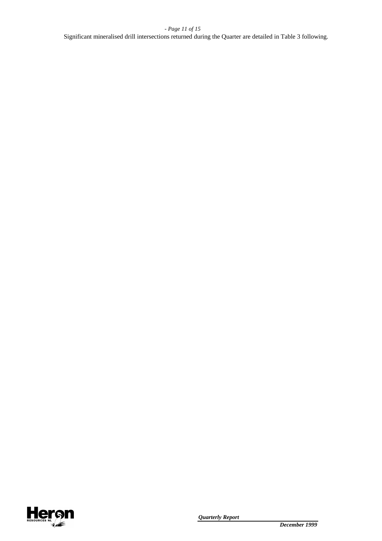# *- Page 11 of 15*

Significant mineralised drill intersections returned during the Quarter are detailed in Table 3 following.

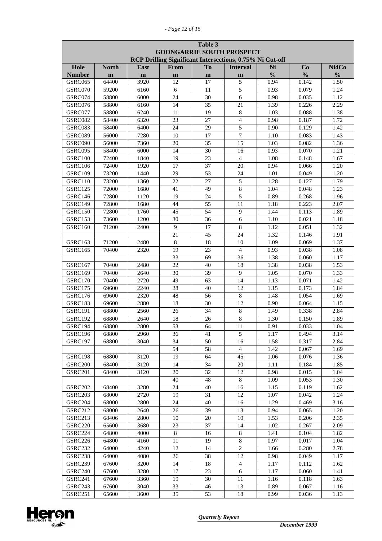|  |  |  | <i>- Page 12 of 15</i> |  |
|--|--|--|------------------------|--|
|--|--|--|------------------------|--|

| Table 3                                 |                                                          |           |                   |          |                      |                       |                        |                       |  |  |  |  |
|-----------------------------------------|----------------------------------------------------------|-----------|-------------------|----------|----------------------|-----------------------|------------------------|-----------------------|--|--|--|--|
|                                         | <b>GOONGARRIE SOUTH PROSPECT</b>                         |           |                   |          |                      |                       |                        |                       |  |  |  |  |
|                                         | RCP Drilling Significant Intersections, 0.75% Ni Cut-off |           |                   |          |                      |                       |                        |                       |  |  |  |  |
| Hole                                    | <b>North</b>                                             | East      | From              | To       | <b>Interval</b>      | Ni                    | Co                     | Ni4Co                 |  |  |  |  |
| <b>Number</b><br>GSRC065                | m<br>64400                                               | m<br>3920 | m<br>12           | m<br>17  | m<br>5               | $\frac{0}{0}$<br>0.94 | $\frac{0}{0}$<br>0.142 | $\frac{0}{0}$<br>1.50 |  |  |  |  |
| GSRC070                                 | 59200                                                    | 6160      | 6                 | 11       | 5                    | 0.93                  | 0.079                  | 1.24                  |  |  |  |  |
| GSRC074                                 | 58800                                                    | 6000      | 24                | 30       | 6                    | 0.98                  | 0.035                  | 1.12                  |  |  |  |  |
| GSRC076                                 | 58800                                                    | 6160      | 14                | 35       | 21                   | 1.39                  | 0.226                  | 2.29                  |  |  |  |  |
| GSRC077                                 | 58800                                                    | 6240      | 11                | 19       | 8                    | 1.03                  | 0.088                  | 1.38                  |  |  |  |  |
| GSRC082                                 | 58400                                                    | 6320      | 23                | 27       | $\overline{4}$       | 0.98                  | 0.187                  | 1.72                  |  |  |  |  |
| GSRC083                                 | 58400                                                    | 6400      | 24                | 29       | 5                    | 0.90                  | 0.129                  | 1.42                  |  |  |  |  |
| GSRC089                                 | 56000                                                    | 7280      | 10                | 17       | 7                    | 1.10                  | 0.083                  | 1.43                  |  |  |  |  |
| GSRC090                                 | 56000                                                    | 7360      | 20                | 35       | 15                   | 1.03                  | 0.082                  | 1.36                  |  |  |  |  |
| GSRC095                                 | 58400                                                    | 6000      | 14                | 30       | 16                   | 0.93                  | 0.070                  | 1.21                  |  |  |  |  |
| <b>GSRC100</b>                          | 72400                                                    | 1840      | 19                | 23       | $\overline{4}$       | 1.08                  | 0.148                  | 1.67                  |  |  |  |  |
| <b>GSRC106</b>                          | 72400                                                    | 1920      | 17                | 37       | 20                   | 0.94                  | 0.066                  | 1.20                  |  |  |  |  |
| <b>GSRC109</b>                          | 73200                                                    | 1440      | 29                | 53       | 24                   | 1.01                  | 0.049                  | 1.20                  |  |  |  |  |
| <b>GSRC110</b>                          | 73200                                                    | 1360      | 22                | 27       | 5                    | 1.28                  | 0.127                  | 1.79                  |  |  |  |  |
|                                         |                                                          |           |                   |          |                      |                       |                        |                       |  |  |  |  |
| GSRC125                                 | 72000<br>72800                                           | 1680      | 41                | 49       | $\,$ 8 $\,$          | 1.04                  | 0.048                  | 1.23                  |  |  |  |  |
| GSRC146<br>$\overline{\text{GSRC}}$ 149 | 72800                                                    | 1120      | 19                | 24       | 5                    | 0.89                  | 0.268<br>0.223         | 1.96<br>2.07          |  |  |  |  |
|                                         |                                                          | 1680      | 44                | 55       | 11                   | 1.18                  |                        |                       |  |  |  |  |
| GSRC150                                 | 72800                                                    | 1760      | 45<br>30          | 54<br>36 | 9                    | 1.44                  | 0.113                  | 1.89                  |  |  |  |  |
| GSRC153                                 | 73600                                                    | 1200      | 9                 | 17       | 6                    | 1.10                  | 0.021<br>0.051         | 1.18<br>1.32          |  |  |  |  |
| GSRC160                                 | 71200                                                    | 2400      |                   |          | 8                    | 1.12                  |                        |                       |  |  |  |  |
|                                         |                                                          |           | 21                | 45       | 24                   | 1.32                  | 0.146                  | 1.91                  |  |  |  |  |
| GSRC163                                 | 71200                                                    | 2480      | $\,$ 8 $\,$<br>19 | 18       | 10<br>$\overline{4}$ | 1.09                  | 0.069                  | 1.37                  |  |  |  |  |
| <b>GSRC165</b>                          | 70400                                                    | 2320      |                   | 23       |                      | 0.93                  | 0.038                  | 1.08                  |  |  |  |  |
|                                         |                                                          |           | 33                | 69       | 36                   | 1.38                  | 0.060                  | 1.17                  |  |  |  |  |
| <b>GSRC167</b>                          | 70400                                                    | 2480      | 22                | 40       | 18                   | 1.38                  | 0.038                  | 1.53                  |  |  |  |  |
| GSRC169                                 | 70400                                                    | 2640      | 30                | 39       | 9                    | 1.05                  | 0.070                  | 1.33                  |  |  |  |  |
| <b>GSRC170</b>                          | 70400                                                    | 2720      | 49                | 63       | 14                   | 1.13                  | 0.071                  | 1.42                  |  |  |  |  |
| GSRC175                                 | 69600                                                    | 2240      | 28                | 40       | 12                   | 1.15                  | 0.173                  | 1.84                  |  |  |  |  |
| GSRC176                                 | 69600                                                    | 2320      | 48                | 56       | 8                    | 1.48                  | 0.054                  | 1.69                  |  |  |  |  |
| GSRC183                                 | 69600                                                    | 2880      | 18                | 30       | 12                   | 0.90                  | 0.064                  | 1.15                  |  |  |  |  |
| <b>GSRC191</b>                          | 68800                                                    | 2560      | 26                | 34       | 8                    | 1.49                  | 0.338                  | 2.84                  |  |  |  |  |
| <b>GSRC192</b>                          | 68800                                                    | 2640      | 18                | 26       | $\,$ 8 $\,$          | 1.30                  | 0.150                  | 1.89                  |  |  |  |  |
| <b>GSRC194</b>                          | 68800                                                    | 2800      | 53                | 64       | 11                   | 0.91                  | 0.033                  | 1.04                  |  |  |  |  |
| <b>GSRC196</b>                          | 68800                                                    | 2960      | 36                | 41       | 5                    | 1.17                  | 0.494                  | 3.14                  |  |  |  |  |
| <b>GSRC197</b>                          | 68800                                                    | 3040      | 34                | 50       | 16                   | 1.58                  | 0.317                  | 2.84                  |  |  |  |  |
|                                         |                                                          |           | 54                | 58       | 4                    | 1.42                  | 0.067                  | 1.69                  |  |  |  |  |
| GSRC198                                 | 68800                                                    | 3120      | 19                | 64       | 45                   | 1.06                  | 0.076                  | 1.36                  |  |  |  |  |
| <b>GSRC200</b>                          | 68400                                                    | 3120      | 14                | 34       | 20                   | 1.11                  | 0.184                  | 1.85                  |  |  |  |  |
| <b>GSRC201</b>                          | 68400                                                    | 3120      | 20                | 32       | 12                   | 0.98                  | 0.015                  | 1.04                  |  |  |  |  |
|                                         |                                                          |           | 40                | 48       | 8                    | 1.09                  | 0.053                  | 1.30                  |  |  |  |  |
| <b>GSRC202</b>                          | 68400                                                    | 3280      | 24                | 40       | 16                   | 1.15                  | 0.119                  | 1.62                  |  |  |  |  |
| GSRC203                                 | 68000                                                    | 2720      | 19                | 31       | 12                   | 1.07                  | 0.042                  | 1.24                  |  |  |  |  |
| GSRC204                                 | 68000                                                    | 2800      | 24                | 40       | 16                   | 1.29                  | 0.469                  | 3.16                  |  |  |  |  |
| GSRC212                                 | 68000                                                    | 2640      | 26                | 39       | 13                   | 0.94                  | 0.065                  | 1.20                  |  |  |  |  |
| <b>GSRC213</b>                          | 68406                                                    | 2800      | 10                | 20       | 10                   | 1.53                  | 0.206                  | 2.35                  |  |  |  |  |
| <b>GSRC220</b>                          | 65600                                                    | 3680      | 23                | 37       | 14                   | 1.02                  | 0.267                  | 2.09                  |  |  |  |  |
| <b>GSRC224</b>                          | 64800                                                    | 4000      | $\,8\,$           | 16       | $\,$ 8 $\,$          | 1.41                  | 0.104                  | 1.82                  |  |  |  |  |
| GSRC226                                 | 64800                                                    | 4160      | 11                | 19       | $\,$ 8 $\,$          | 0.97                  | 0.017                  | 1.04                  |  |  |  |  |
| <b>GSRC232</b>                          | 64000                                                    | 4240      | 12                | 14       | $\mathbf{2}$         | 1.66                  | 0.280                  | 2.78                  |  |  |  |  |
| GSRC238                                 | 64000                                                    | 4080      | 26                | 38       | 12                   | 0.98                  | 0.049                  | 1.17                  |  |  |  |  |
| <b>GSRC239</b>                          | 67600                                                    | 3200      | 14                | 18       | $\overline{4}$       | 1.17                  | 0.112                  | 1.62                  |  |  |  |  |
| <b>GSRC240</b>                          | 67600                                                    | 3280      | 17                | 23       | $\sqrt{6}$           | 1.17                  | 0.060                  | 1.41                  |  |  |  |  |
| <b>GSRC241</b>                          | 67600                                                    | 3360      | 19                | 30       | 11                   | 1.16                  | 0.118                  | 1.63                  |  |  |  |  |
| GSRC243                                 | 67600                                                    | 3040      | 33                | 46       | 13                   | 0.89                  | 0.067                  | 1.16                  |  |  |  |  |
| <b>GSRC251</b>                          | 65600                                                    | 3600      | 35                | 53       | 18                   | 0.99                  | 0.036                  | 1.13                  |  |  |  |  |

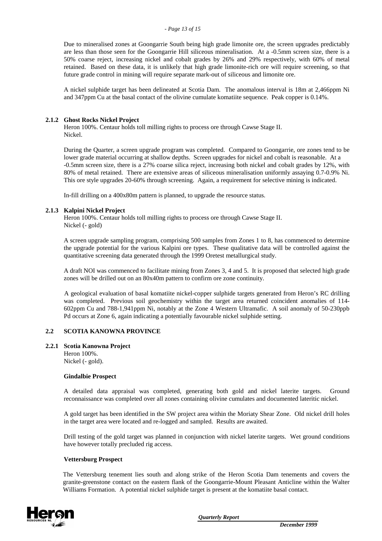#### *- Page 13 of 15*

Due to mineralised zones at Goongarrie South being high grade limonite ore, the screen upgrades predictably are less than those seen for the Goongarrie Hill siliceous mineralisation. At a -0.5mm screen size, there is a 50% coarse reject, increasing nickel and cobalt grades by 26% and 29% respectively, with 60% of metal retained. Based on these data, it is unlikely that high grade limonite-rich ore will require screening, so that future grade control in mining will require separate mark-out of siliceous and limonite ore.

A nickel sulphide target has been delineated at Scotia Dam. The anomalous interval is 18m at 2,466ppm Ni and 347ppm Cu at the basal contact of the olivine cumulate komatiite sequence. Peak copper is 0.14%.

#### **2.1.2 Ghost Rocks Nickel Project**

Heron 100%. Centaur holds toll milling rights to process ore through Cawse Stage II. Nickel.

During the Quarter, a screen upgrade program was completed. Compared to Goongarrie, ore zones tend to be lower grade material occurring at shallow depths. Screen upgrades for nickel and cobalt is reasonable. At a -0.5mm screen size, there is a 27% coarse silica reject, increasing both nickel and cobalt grades by 12%, with 80% of metal retained. There are extensive areas of siliceous mineralisation uniformly assaying 0.7-0.9% Ni. This ore style upgrades 20-60% through screening. Again, a requirement for selective mining is indicated.

In-fill drilling on a 400x80m pattern is planned, to upgrade the resource status.

#### **2.1.3 Kalpini Nickel Project**

Heron 100%. Centaur holds toll milling rights to process ore through Cawse Stage II. Nickel (- gold)

A screen upgrade sampling program, comprising 500 samples from Zones 1 to 8, has commenced to determine the upgrade potential for the various Kalpini ore types. These qualitative data will be controlled against the quantitative screening data generated through the 1999 Oretest metallurgical study.

A draft NOI was commenced to facilitate mining from Zones 3, 4 and 5. It is proposed that selected high grade zones will be drilled out on an 80x40m pattern to confirm ore zone continuity.

A geological evaluation of basal komatiite nickel-copper sulphide targets generated from Heron's RC drilling was completed. Previous soil geochemistry within the target area returned coincident anomalies of 114- 602ppm Cu and 788-1,941ppm Ni, notably at the Zone 4 Western Ultramafic. A soil anomaly of 50-230ppb Pd occurs at Zone 6, again indicating a potentially favourable nickel sulphide setting.

### **2.2 SCOTIA KANOWNA PROVINCE**

#### **2.2.1 Scotia Kanowna Project**

Heron 100%. Nickel (- gold).

#### **Gindalbie Prospect**

A detailed data appraisal was completed, generating both gold and nickel laterite targets. Ground reconnaissance was completed over all zones containing olivine cumulates and documented lateritic nickel.

A gold target has been identified in the SW project area within the Moriaty Shear Zone. Old nickel drill holes in the target area were located and re-logged and sampled. Results are awaited.

Drill testing of the gold target was planned in conjunction with nickel laterite targets. Wet ground conditions have however totally precluded rig access.

#### **Vettersburg Prospect**

The Vettersburg tenement lies south and along strike of the Heron Scotia Dam tenements and covers the granite-greenstone contact on the eastern flank of the Goongarrie-Mount Pleasant Anticline within the Walter Williams Formation. A potential nickel sulphide target is present at the komatiite basal contact.

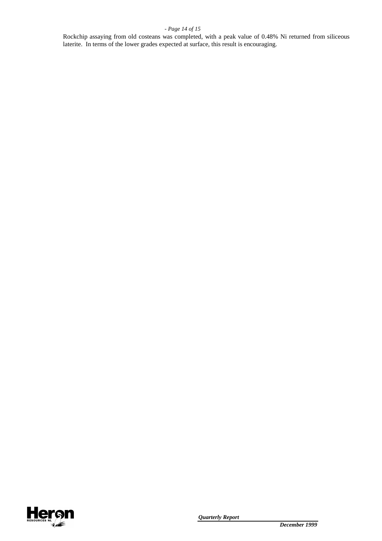## *- Page 14 of 15*

Rockchip assaying from old costeans was completed, with a peak value of 0.48% Ni returned from siliceous laterite. In terms of the lower grades expected at surface, this result is encouraging.

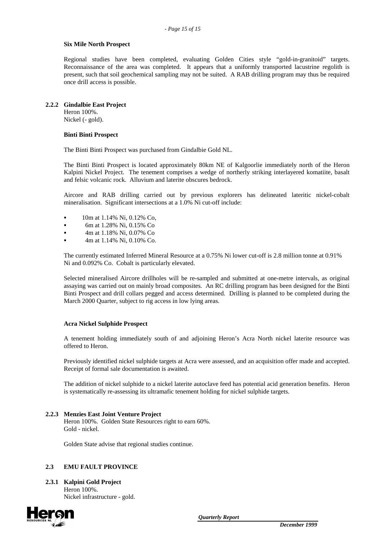### **Six Mile North Prospect**

Regional studies have been completed, evaluating Golden Cities style "gold-in-granitoid" targets. Reconnaissance of the area was completed. It appears that a uniformly transported lacustrine regolith is present, such that soil geochemical sampling may not be suited. A RAB drilling program may thus be required once drill access is possible.

### **2.2.2 Gindalbie East Project**

Heron 100%. Nickel (- gold).

#### **Binti Binti Prospect**

The Binti Binti Prospect was purchased from Gindalbie Gold NL.

The Binti Binti Prospect is located approximately 80km NE of Kalgoorlie immediately north of the Heron Kalpini Nickel Project. The tenement comprises a wedge of northerly striking interlayered komatiite, basalt and felsic volcanic rock. Alluvium and laterite obscures bedrock.

Aircore and RAB drilling carried out by previous explorers has delineated lateritic nickel-cobalt mineralisation. Significant intersections at a 1.0% Ni cut-off include:

- ! 10m at 1.14% Ni, 0.12% Co,
- ! 6m at 1.28% Ni, 0.15% Co
- ! 4m at 1.18% Ni, 0.07% Co
- ! 4m at 1.14% Ni, 0.10% Co.

The currently estimated Inferred Mineral Resource at a 0.75% Ni lower cut-off is 2.8 million tonne at 0.91% Ni and 0.092% Co. Cobalt is particularly elevated.

Selected mineralised Aircore drillholes will be re-sampled and submitted at one-metre intervals, as original assaying was carried out on mainly broad composites. An RC drilling program has been designed for the Binti Binti Prospect and drill collars pegged and access determined. Drilling is planned to be completed during the March 2000 Quarter, subject to rig access in low lying areas.

### **Acra Nickel Sulphide Prospect**

A tenement holding immediately south of and adjoining Heron's Acra North nickel laterite resource was offered to Heron.

Previously identified nickel sulphide targets at Acra were assessed, and an acquisition offer made and accepted. Receipt of formal sale documentation is awaited.

The addition of nickel sulphide to a nickel laterite autoclave feed has potential acid generation benefits. Heron is systematically re-assessing its ultramafic tenement holding for nickel sulphide targets.

### **2.2.3 Menzies East Joint Venture Project**

Heron 100%. Golden State Resources right to earn 60%. Gold - nickel.

Golden State advise that regional studies continue.

## **2.3 EMU FAULT PROVINCE**

**2.3.1 Kalpini Gold Project**

Heron 100%. Nickel infrastructure - gold.

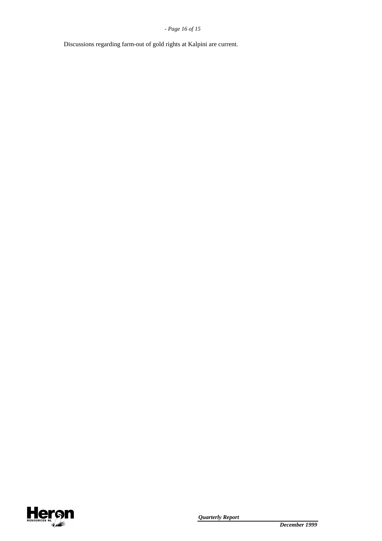## *- Page 16 of 15*

Discussions regarding farm-out of gold rights at Kalpini are current.

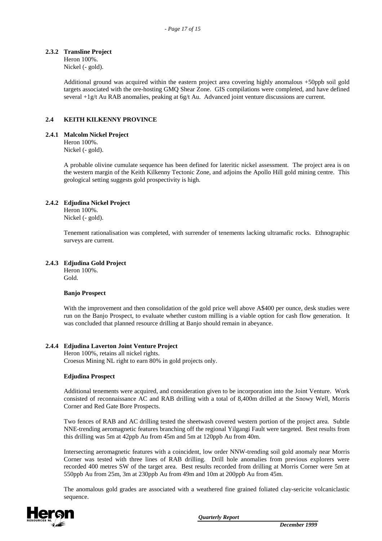## **2.3.2 Transline Project**

Heron 100%. Nickel (- gold).

Additional ground was acquired within the eastern project area covering highly anomalous +50ppb soil gold targets associated with the ore-hosting GMQ Shear Zone. GIS compilations were completed, and have defined several  $+1g/t$  Au RAB anomalies, peaking at 6g/t Au. Advanced joint venture discussions are current.

## **2.4 KEITH KILKENNY PROVINCE**

### **2.4.1 Malcolm Nickel Project**

Heron 100%. Nickel (- gold).

A probable olivine cumulate sequence has been defined for lateritic nickel assessment. The project area is on the western margin of the Keith Kilkenny Tectonic Zone, and adjoins the Apollo Hill gold mining centre. This geological setting suggests gold prospectivity is high.

## **2.4.2 Edjudina Nickel Project**

Heron 100%. Nickel (- gold).

Tenement rationalisation was completed, with surrender of tenements lacking ultramafic rocks. Ethnographic surveys are current.

## **2.4.3 Edjudina Gold Project**

Heron 100%. Gold.

### **Banjo Prospect**

With the improvement and then consolidation of the gold price well above A\$400 per ounce, desk studies were run on the Banjo Prospect, to evaluate whether custom milling is a viable option for cash flow generation. It was concluded that planned resource drilling at Banjo should remain in abeyance.

### **2.4.4 Edjudina Laverton Joint Venture Project**

Heron 100%, retains all nickel rights. Croesus Mining NL right to earn 80% in gold projects only.

### **Edjudina Prospect**

Additional tenements were acquired, and consideration given to be incorporation into the Joint Venture. Work consisted of reconnaissance AC and RAB drilling with a total of 8,400m drilled at the Snowy Well, Morris Corner and Red Gate Bore Prospects.

Two fences of RAB and AC drilling tested the sheetwash covered western portion of the project area. Subtle NNE-trending aeromagnetic features branching off the regional Yilgangi Fault were targeted. Best results from this drilling was 5m at 42ppb Au from 45m and 5m at 120ppb Au from 40m.

Intersecting aeromagnetic features with a coincident, low order NNW-trending soil gold anomaly near Morris Corner was tested with three lines of RAB drilling. Drill hole anomalies from previous explorers were recorded 400 metres SW of the target area. Best results recorded from drilling at Morris Corner were 5m at 550ppb Au from 25m, 3m at 230ppb Au from 49m and 10m at 200ppb Au from 45m.

The anomalous gold grades are associated with a weathered fine grained foliated clay-sericite volcaniclastic sequence.

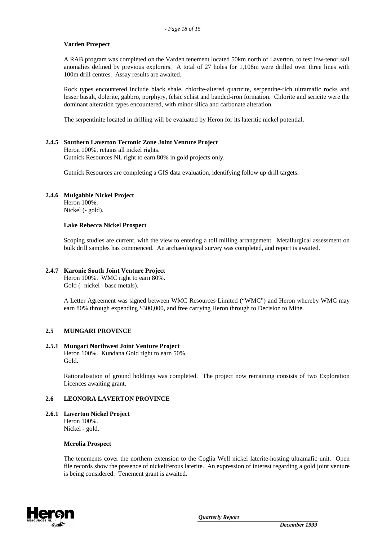## **Varden Prospect**

A RAB program was completed on the Varden tenement located 50km north of Laverton, to test low-tenor soil anomalies defined by previous explorers. A total of 27 holes for 1,108m were drilled over three lines with 100m drill centres. Assay results are awaited.

Rock types encountered include black shale, chlorite-altered quartzite, serpentine-rich ultramafic rocks and lesser basalt, dolerite, gabbro, porphyry, felsic schist and banded-iron formation. Chlorite and sericite were the dominant alteration types encountered, with minor silica and carbonate alteration.

The serpentinite located in drilling will be evaluated by Heron for its lateritic nickel potential.

### **2.4.5 Southern Laverton Tectonic Zone Joint Venture Project**

Heron 100%, retains all nickel rights. Gutnick Resources NL right to earn 80% in gold projects only.

Gutnick Resources are completing a GIS data evaluation, identifying follow up drill targets.

### **2.4.6 Mulgabbie Nickel Project**

Heron 100%. Nickel (- gold).

#### **Lake Rebecca Nickel Prospect**

Scoping studies are current, with the view to entering a toll milling arrangement. Metallurgical assessment on bulk drill samples has commenced. An archaeological survey was completed, and report is awaited.

#### **2.4.7 Karonie South Joint Venture Project**

Heron 100%. WMC right to earn 80%. Gold (- nickel - base metals).

A Letter Agreement was signed between WMC Resources Limited ("WMC") and Heron whereby WMC may earn 80% through expending \$300,000, and free carrying Heron through to Decision to Mine.

### **2.5 MUNGARI PROVINCE**

#### **2.5.1 Mungari Northwest Joint Venture Project** Heron 100%. Kundana Gold right to earn 50%. Gold.

Rationalisation of ground holdings was completed. The project now remaining consists of two Exploration Licences awaiting grant.

#### **2.6 LEONORA LAVERTON PROVINCE**

## **2.6.1 Laverton Nickel Project**

Heron 100%. Nickel - gold.

#### **Merolia Prospect**

The tenements cover the northern extension to the Coglia Well nickel laterite-hosting ultramafic unit. Open file records show the presence of nickeliferous laterite. An expression of interest regarding a gold joint venture is being considered. Tenement grant is awaited.

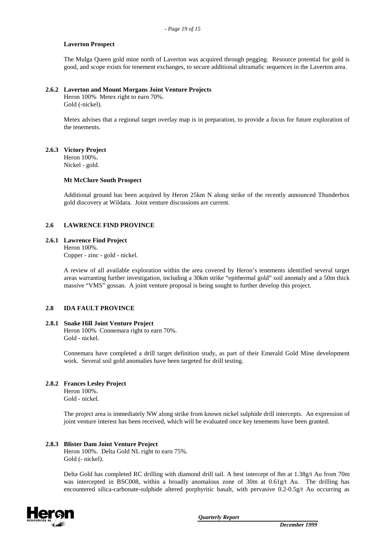## **Laverton Prospect**

The Mulga Queen gold mine north of Laverton was acquired through pegging. Resource potential for gold is good, and scope exists for tenement exchanges, to secure additional ultramafic sequences in the Laverton area.

## **2.6.2 Laverton and Mount Morgans Joint Venture Projects**

Heron 100% Metex right to earn 70%. Gold (-nickel).

Metex advises that a regional target overlay map is in preparation, to provide a focus for future exploration of the tenements.

## **2.6.3 Victory Project**

Heron 100%. Nickel - gold.

### **Mt McClure South Prospect**

Additional ground has been acquired by Heron 25km N along strike of the recently announced Thunderbox gold discovery at Wildara. Joint venture discussions are current.

## **2.6 LAWRENCE FIND PROVINCE**

#### **2.6.1 Lawrence Find Project**

Heron 100%. Copper - zinc - gold - nickel.

A review of all available exploration within the area covered by Heron's tenements identified several target areas warranting further investigation, including a 30km strike "epithermal gold" soil anomaly and a 50m thick massive "VMS" gossan. A joint venture proposal is being sought to further develop this project.

### **2.8 IDA FAULT PROVINCE**

### **2.8.1 Snake Hill Joint Venture Project**

Heron 100% Connemara right to earn 70%. Gold - nickel.

Connemara have completed a drill target definition study, as part of their Emerald Gold Mine development work. Several soil gold anomalies have been targeted for drill testing.

### **2.8.2 Frances Lesley Project**

Heron 100%. Gold - nickel.

The project area is immediately NW along strike from known nickel sulphide drill intercepts. An expression of joint venture interest has been received, which will be evaluated once key tenements have been granted.

### **2.8.3 Blister Dam Joint Venture Project**

Heron 100%. Delta Gold NL right to earn 75%. Gold (- nickel).

Delta Gold has completed RC drilling with diamond drill tail. A best intercept of 8m at 1.38g/t Au from 70m was intercepted in BSC008, within a broadly anomalous zone of 30m at 0.61g/t Au. The drilling has encountered silica-carbonate-sulphide altered porphyritic basalt, with pervasive 0.2-0.5g/t Au occurring as

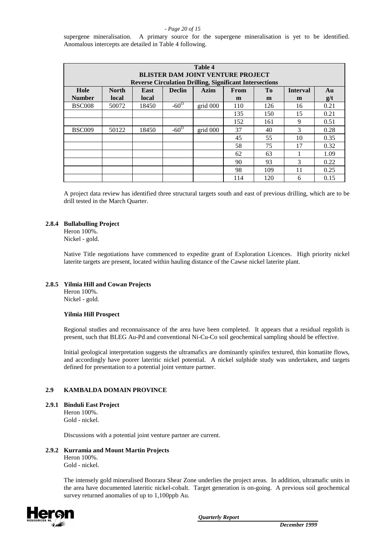## *- Page 20 of 15*

supergene mineralisation. A primary source for the supergene mineralisation is yet to be identified. Anomalous intercepts are detailed in Table 4 following.

| Table 4<br><b>BLISTER DAM JOINT VENTURE PROJECT</b><br><b>Reverse Circulation Drilling, Significant Intersections</b> |                                                                                             |       |               |             |     |     |               |      |  |
|-----------------------------------------------------------------------------------------------------------------------|---------------------------------------------------------------------------------------------|-------|---------------|-------------|-----|-----|---------------|------|--|
| Hole                                                                                                                  | <b>Declin</b><br>Azim<br><b>Interval</b><br><b>North</b><br>East<br><b>From</b><br>To<br>Au |       |               |             |     |     |               |      |  |
| <b>Number</b>                                                                                                         | local                                                                                       | local |               |             | m   | m   | m             | g/t  |  |
| <b>BSC008</b>                                                                                                         | 50072                                                                                       | 18450 | $-60^\circ$   | $grid\ 000$ | 110 | 126 | 16            | 0.21 |  |
|                                                                                                                       |                                                                                             |       |               |             | 135 | 150 | 15            | 0.21 |  |
|                                                                                                                       |                                                                                             |       |               |             | 152 | 161 | 9             | 0.51 |  |
| <b>BSC009</b>                                                                                                         | 50122                                                                                       | 18450 | $-60^{\circ}$ | $grid\ 000$ | 37  | 40  | $\mathcal{R}$ | 0.28 |  |
|                                                                                                                       |                                                                                             |       |               |             | 45  | 55  | 10            | 0.35 |  |
|                                                                                                                       |                                                                                             |       |               |             | 58  | 75  | 17            | 0.32 |  |
|                                                                                                                       |                                                                                             |       |               |             | 62  | 63  |               | 1.09 |  |
|                                                                                                                       |                                                                                             |       |               |             | 90  | 93  | 3             | 0.22 |  |
|                                                                                                                       |                                                                                             |       |               |             | 98  | 109 | 11            | 0.25 |  |
|                                                                                                                       |                                                                                             |       |               |             | 114 | 120 | 6             | 0.15 |  |

A project data review has identified three structural targets south and east of previous drilling, which are to be drill tested in the March Quarter.

### **2.8.4 Bullabulling Project**

Heron 100%. Nickel - gold.

Native Title negotiations have commenced to expedite grant of Exploration Licences. High priority nickel laterite targets are present, located within hauling distance of the Cawse nickel laterite plant.

## **2.8.5 Yilmia Hill and Cowan Projects**

Heron 100%. Nickel - gold.

### **Yilmia Hill Prospect**

Regional studies and reconnaissance of the area have been completed. It appears that a residual regolith is present, such that BLEG Au-Pd and conventional Ni-Cu-Co soil geochemical sampling should be effective.

Initial geological interpretation suggests the ultramafics are dominantly spinifex textured, thin komatiite flows, and accordingly have poorer lateritic nickel potential. A nickel sulphide study was undertaken, and targets defined for presentation to a potential joint venture partner.

## **2.9 KAMBALDA DOMAIN PROVINCE**

**2.9.1 Binduli East Project** Heron 100%. Gold - nickel.

Discussions with a potential joint venture partner are current.

### **2.9.2 Kurramia and Mount Martin Projects**

Heron 100%. Gold - nickel.

The intensely gold mineralised Boorara Shear Zone underlies the project areas. In addition, ultramafic units in the area have documented lateritic nickel-cobalt. Target generation is on-going. A previous soil geochemical survey returned anomalies of up to 1,100ppb Au.

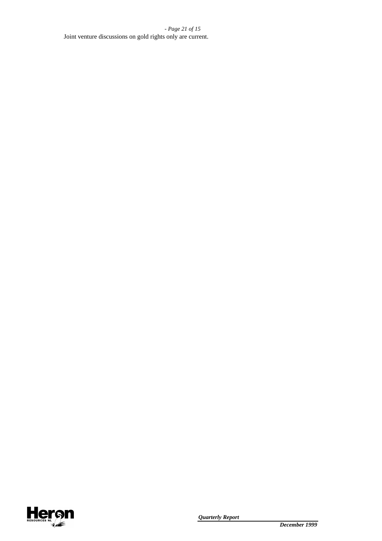# *- Page 21 of 15*

Joint venture discussions on gold rights only are current.

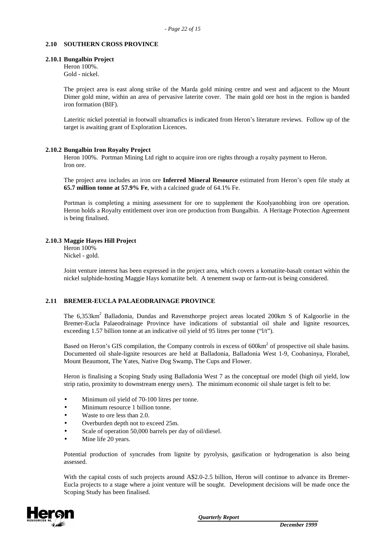## **2.10 SOUTHERN CROSS PROVINCE**

#### **2.10.1 Bungalbin Project**

Heron 100%. Gold - nickel.

The project area is east along strike of the Marda gold mining centre and west and adjacent to the Mount Dimer gold mine, within an area of pervasive laterite cover. The main gold ore host in the region is banded iron formation (BIF).

Lateritic nickel potential in footwall ultramafics is indicated from Heron's literature reviews. Follow up of the target is awaiting grant of Exploration Licences.

#### **2.10.2 Bungalbin Iron Royalty Project**

Heron 100%. Portman Mining Ltd right to acquire iron ore rights through a royalty payment to Heron. Iron ore.

The project area includes an iron ore **Inferred Mineral Resource** estimated from Heron's open file study at **65.7 million tonne at 57.9% Fe**, with a calcined grade of 64.1% Fe.

Portman is completing a mining assessment for ore to supplement the Koolyanobbing iron ore operation. Heron holds a Royalty entitlement over iron ore production from Bungalbin. A Heritage Protection Agreement is being finalised.

### **2.10.3 Maggie Hayes Hill Project**

Heron 100% Nickel - gold.

Joint venture interest has been expressed in the project area, which covers a komatiite-basalt contact within the nickel sulphide-hosting Maggie Hays komatiite belt. A tenement swap or farm-out is being considered.

### **2.11 BREMER-EUCLA PALAEODRAINAGE PROVINCE**

The 6,353km<sup>2</sup> Balladonia, Dundas and Ravensthorpe project areas located 200km S of Kalgoorlie in the Bremer-Eucla Palaeodrainage Province have indications of substantial oil shale and lignite resources, exceeding 1.57 billion tonne at an indicative oil yield of 95 litres per tonne ("l/t").

Based on Heron's GIS compilation, the Company controls in excess of 600km<sup>2</sup> of prospective oil shale basins. Documented oil shale-lignite resources are held at Balladonia, Balladonia West 1-9, Coobaninya, Florabel, Mount Beaumont, The Yates, Native Dog Swamp, The Cups and Flower.

Heron is finalising a Scoping Study using Balladonia West 7 as the conceptual ore model (high oil yield, low strip ratio, proximity to downstream energy users). The minimum economic oil shale target is felt to be:

- Minimum oil yield of 70-100 litres per tonne.
- Minimum resource 1 billion tonne.
- Waste to ore less than 2.0.
- Overburden depth not to exceed 25m.
- Scale of operation 50,000 barrels per day of oil/diesel.
- Mine life 20 years.

Potential production of syncrudes from lignite by pyrolysis, gasification or hydrogenation is also being assessed.

With the capital costs of such projects around A\$2.0-2.5 billion, Heron will continue to advance its Bremer-Eucla projects to a stage where a joint venture will be sought. Development decisions will be made once the Scoping Study has been finalised.